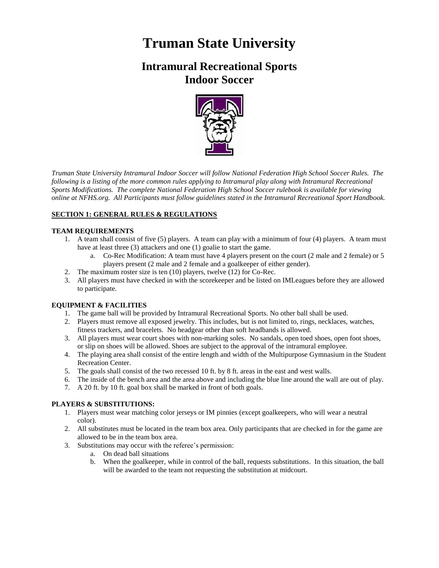# **Truman State University**

# **Intramural Recreational Sports Indoor Soccer**



*Truman State University Intramural Indoor Soccer will follow National Federation High School Soccer Rules. The following is a listing of the more common rules applying to Intramural play along with Intramural Recreational Sports Modifications. The complete National Federation High School Soccer rulebook is available for viewing online at NFHS.org. All Participants must follow guidelines stated in the Intramural Recreational Sport Handbook.*

# **SECTION 1: GENERAL RULES & REGULATIONS**

# **TEAM REQUIREMENTS**

- 1. A team shall consist of five (5) players. A team can play with a minimum of four (4) players. A team must have at least three (3) attackers and one (1) goalie to start the game.
	- a. Co-Rec Modification: A team must have 4 players present on the court (2 male and 2 female) or 5 players present (2 male and 2 female and a goalkeeper of either gender).
- 2. The maximum roster size is ten (10) players, twelve (12) for Co-Rec.
- 3. All players must have checked in with the scorekeeper and be listed on IMLeagues before they are allowed to participate.

# **EQUIPMENT & FACILITIES**

- 1. The game ball will be provided by Intramural Recreational Sports. No other ball shall be used.
- 2. Players must remove all exposed jewelry. This includes, but is not limited to, rings, necklaces, watches, fitness trackers, and bracelets. No headgear other than soft headbands is allowed.
- 3. All players must wear court shoes with non-marking soles. No sandals, open toed shoes, open foot shoes, or slip on shoes will be allowed. Shoes are subject to the approval of the intramural employee.
- 4. The playing area shall consist of the entire length and width of the Multipurpose Gymnasium in the Student Recreation Center.
- 5. The goals shall consist of the two recessed 10 ft. by 8 ft. areas in the east and west walls.
- 6. The inside of the bench area and the area above and including the blue line around the wall are out of play.
- 7. A 20 ft. by 10 ft. goal box shall be marked in front of both goals.

# **PLAYERS & SUBSTITUTIONS:**

- 1. Players must wear matching color jerseys or IM pinnies (except goalkeepers, who will wear a neutral color).
- 2. All substitutes must be located in the team box area. Only participants that are checked in for the game are allowed to be in the team box area.
- 3. Substitutions may occur with the referee's permission:
	- a. On dead ball situations
	- b. When the goalkeeper, while in control of the ball, requests substitutions. In this situation, the ball will be awarded to the team not requesting the substitution at midcourt.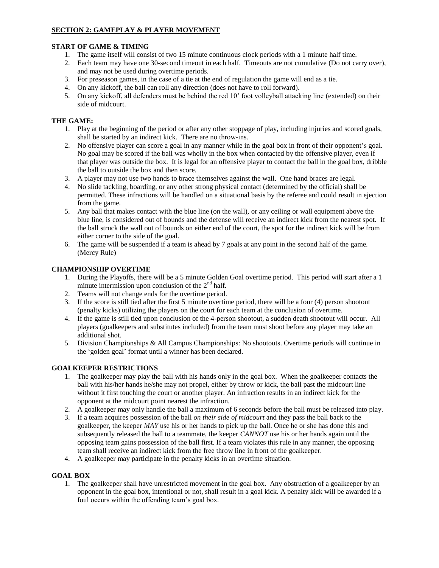# **SECTION 2: GAMEPLAY & PLAYER MOVEMENT**

#### **START OF GAME & TIMING**

- 1. The game itself will consist of two 15 minute continuous clock periods with a 1 minute half time.
- 2. Each team may have one 30-second timeout in each half. Timeouts are not cumulative (Do not carry over), and may not be used during overtime periods.
- 3. For preseason games, in the case of a tie at the end of regulation the game will end as a tie.
- 4. On any kickoff, the ball can roll any direction (does not have to roll forward).
- 5. On any kickoff, all defenders must be behind the red 10' foot volleyball attacking line (extended) on their side of midcourt.

#### **THE GAME:**

- 1. Play at the beginning of the period or after any other stoppage of play, including injuries and scored goals, shall be started by an indirect kick. There are no throw-ins.
- 2. No offensive player can score a goal in any manner while in the goal box in front of their opponent's goal. No goal may be scored if the ball was wholly in the box when contacted by the offensive player, even if that player was outside the box. It is legal for an offensive player to contact the ball in the goal box, dribble the ball to outside the box and then score.
- 3. A player may not use two hands to brace themselves against the wall. One hand braces are legal.
- 4. No slide tackling, boarding, or any other strong physical contact (determined by the official) shall be permitted. These infractions will be handled on a situational basis by the referee and could result in ejection from the game.
- 5. Any ball that makes contact with the blue line (on the wall), or any ceiling or wall equipment above the blue line, is considered out of bounds and the defense will receive an indirect kick from the nearest spot. If the ball struck the wall out of bounds on either end of the court, the spot for the indirect kick will be from either corner to the side of the goal.
- 6. The game will be suspended if a team is ahead by 7 goals at any point in the second half of the game. (Mercy Rule)

#### **CHAMPIONSHIP OVERTIME**

- 1. During the Playoffs, there will be a 5 minute Golden Goal overtime period. This period will start after a 1 minute intermission upon conclusion of the  $2<sup>nd</sup>$  half.
- 2. Teams will not change ends for the overtime period.
- 3. If the score is still tied after the first 5 minute overtime period, there will be a four (4) person shootout (penalty kicks) utilizing the players on the court for each team at the conclusion of overtime.
- 4. If the game is still tied upon conclusion of the 4-person shootout, a sudden death shootout will occur. All players (goalkeepers and substitutes included) from the team must shoot before any player may take an additional shot.
- 5. Division Championships & All Campus Championships: No shootouts. Overtime periods will continue in the 'golden goal' format until a winner has been declared.

# **GOALKEEPER RESTRICTIONS**

- 1. The goalkeeper may play the ball with his hands only in the goal box. When the goalkeeper contacts the ball with his/her hands he/she may not propel, either by throw or kick, the ball past the midcourt line without it first touching the court or another player. An infraction results in an indirect kick for the opponent at the midcourt point nearest the infraction.
- 2. A goalkeeper may only handle the ball a maximum of 6 seconds before the ball must be released into play.
- 3. If a team acquires possession of the ball *on their side of midcourt* and they pass the ball back to the goalkeeper, the keeper *MAY* use his or her hands to pick up the ball. Once he or she has done this and subsequently released the ball to a teammate, the keeper *CANNOT* use his or her hands again until the opposing team gains possession of the ball first. If a team violates this rule in any manner, the opposing team shall receive an indirect kick from the free throw line in front of the goalkeeper.
- 4. A goalkeeper may participate in the penalty kicks in an overtime situation.

# **GOAL BOX**

1. The goalkeeper shall have unrestricted movement in the goal box. Any obstruction of a goalkeeper by an opponent in the goal box, intentional or not, shall result in a goal kick. A penalty kick will be awarded if a foul occurs within the offending team's goal box.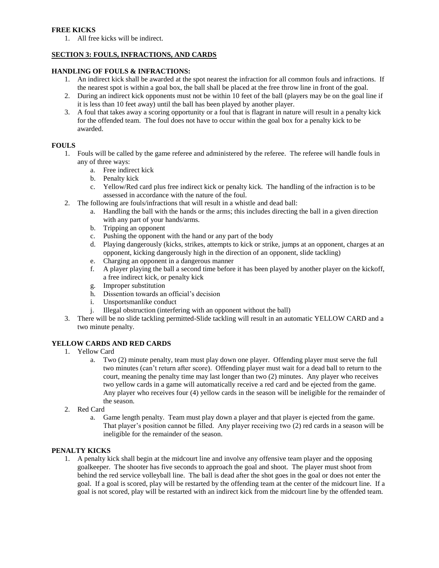#### **FREE KICKS**

1. All free kicks will be indirect.

# **SECTION 3: FOULS, INFRACTIONS, AND CARDS**

# **HANDLING OF FOULS & INFRACTIONS:**

- 1. An indirect kick shall be awarded at the spot nearest the infraction for all common fouls and infractions. If the nearest spot is within a goal box, the ball shall be placed at the free throw line in front of the goal.
- 2. During an indirect kick opponents must not be within 10 feet of the ball (players may be on the goal line if it is less than 10 feet away) until the ball has been played by another player.
- 3. A foul that takes away a scoring opportunity or a foul that is flagrant in nature will result in a penalty kick for the offended team. The foul does not have to occur within the goal box for a penalty kick to be awarded.

#### **FOULS**

- 1. Fouls will be called by the game referee and administered by the referee. The referee will handle fouls in any of three ways:
	- a. Free indirect kick
	- b. Penalty kick
	- c. Yellow/Red card plus free indirect kick or penalty kick. The handling of the infraction is to be assessed in accordance with the nature of the foul.
- 2. The following are fouls/infractions that will result in a whistle and dead ball:
	- a. Handling the ball with the hands or the arms; this includes directing the ball in a given direction with any part of your hands/arms.
	- b. Tripping an opponent
	- c. Pushing the opponent with the hand or any part of the body
	- d. Playing dangerously (kicks, strikes, attempts to kick or strike, jumps at an opponent, charges at an opponent, kicking dangerously high in the direction of an opponent, slide tackling)
	- e. Charging an opponent in a dangerous manner
	- f. A player playing the ball a second time before it has been played by another player on the kickoff, a free indirect kick, or penalty kick
	- g. Improper substitution
	- h. Dissention towards an official's decision
	- i. Unsportsmanlike conduct
	- j. Illegal obstruction (interfering with an opponent without the ball)
- 3. There will be no slide tackling permitted-Slide tackling will result in an automatic YELLOW CARD and a two minute penalty.

# **YELLOW CARDS AND RED CARDS**

- 1. Yellow Card
	- a. Two (2) minute penalty, team must play down one player. Offending player must serve the full two minutes (can't return after score). Offending player must wait for a dead ball to return to the court, meaning the penalty time may last longer than two (2) minutes. Any player who receives two yellow cards in a game will automatically receive a red card and be ejected from the game. Any player who receives four (4) yellow cards in the season will be ineligible for the remainder of the season.
- 2. Red Card
	- a. Game length penalty. Team must play down a player and that player is ejected from the game. That player's position cannot be filled. Any player receiving two (2) red cards in a season will be ineligible for the remainder of the season.

#### **PENALTY KICKS**

1. A penalty kick shall begin at the midcourt line and involve any offensive team player and the opposing goalkeeper. The shooter has five seconds to approach the goal and shoot. The player must shoot from behind the red service volleyball line. The ball is dead after the shot goes in the goal or does not enter the goal. If a goal is scored, play will be restarted by the offending team at the center of the midcourt line. If a goal is not scored, play will be restarted with an indirect kick from the midcourt line by the offended team.